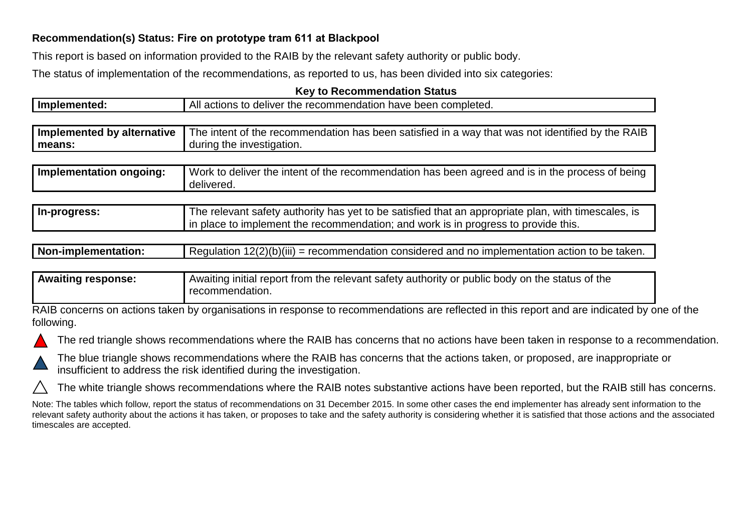## **Recommendation(s) Status: Fire on prototype tram 611 at Blackpool**

This report is based on information provided to the RAIB by the relevant safety authority or public body.

The status of implementation of the recommendations, as reported to us, has been divided into six categories:

| <b>Key to Recommendation Status</b> |
|-------------------------------------|
|-------------------------------------|

| Implemented:               | All actions to deliver the recommendation have been completed.                                                                                                                            |  |  |
|----------------------------|-------------------------------------------------------------------------------------------------------------------------------------------------------------------------------------------|--|--|
|                            |                                                                                                                                                                                           |  |  |
| Implemented by alternative | The intent of the recommendation has been satisfied in a way that was not identified by the RAIB                                                                                          |  |  |
| means:                     | during the investigation.                                                                                                                                                                 |  |  |
|                            |                                                                                                                                                                                           |  |  |
| Implementation ongoing:    | Work to deliver the intent of the recommendation has been agreed and is in the process of being<br>delivered.                                                                             |  |  |
|                            |                                                                                                                                                                                           |  |  |
| In-progress:               | The relevant safety authority has yet to be satisfied that an appropriate plan, with timescales, is<br>in place to implement the recommendation; and work is in progress to provide this. |  |  |

| $\vert$ Regulation 12(2)(b)(iii) = recommendation considered and no implementation action to be taken.<br>Non-implementation: |  |
|-------------------------------------------------------------------------------------------------------------------------------|--|
|-------------------------------------------------------------------------------------------------------------------------------|--|

| <b>Awaiting response:</b> | Awaiting initial report from the relevant safety authority or public body on the status of the |  |
|---------------------------|------------------------------------------------------------------------------------------------|--|
|                           | recommendation.                                                                                |  |

RAIB concerns on actions taken by organisations in response to recommendations are reflected in this report and are indicated by one of the following.





The blue triangle shows recommendations where the RAIB has concerns that the actions taken, or proposed, are inappropriate or insufficient to address the risk identified during the investigation.

The white triangle shows recommendations where the RAIB notes substantive actions have been reported, but the RAIB still has concerns.

Note: The tables which follow, report the status of recommendations on 31 December 2015. In some other cases the end implementer has already sent information to the relevant safety authority about the actions it has taken, or proposes to take and the safety authority is considering whether it is satisfied that those actions and the associated timescales are accepted.